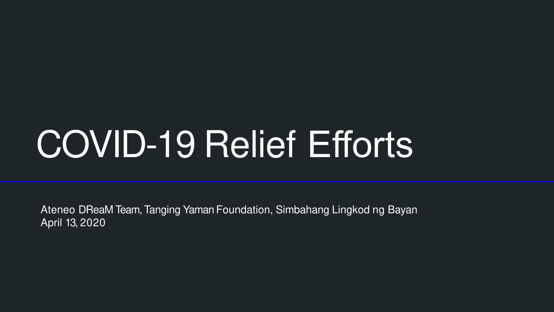# COVID-19 Relief Efforts

Ateneo DReaM Team, Tanging Yaman Foundation, Simbahang Lingkod ng Bayan April 13, 2020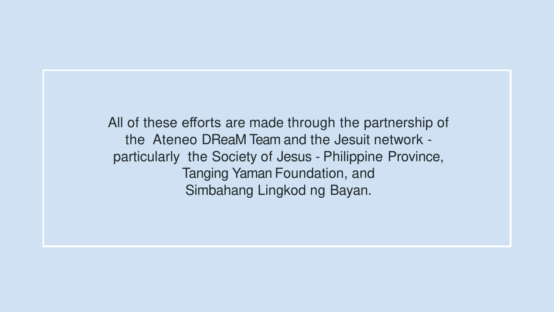All of these efforts are made through the partnership of the Ateneo DReaM Team and the Jesuit network particularly the Society of Jesus - Philippine Province, Tanging Yaman Foundation, and Simbahang Lingkod ng Bayan.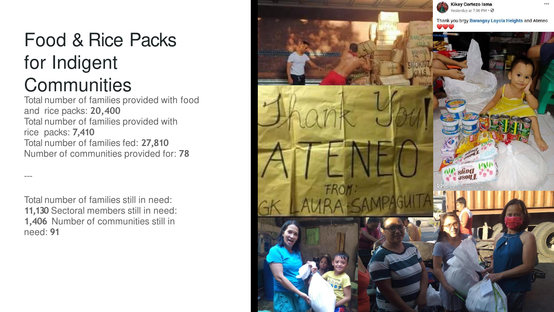## Food & Rice Packs for Indigent **Communities**

Total number of families provided with food and rice packs: **20,400** Total number of families provided with rice packs: **7,410** Total number of families fed: **27,810** Number of communities provided for: **78**

Total number of families still in need: **11,130** Sectoral members still in need: **1,406** Number of communities still in need: **91**

---

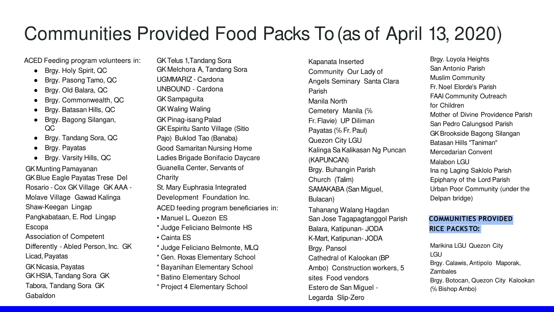# Communities Provided Food Packs To (as of April 13, 2020)

ACED Feeding program volunteers in:

- Brgy. Holy Spirit, QC
- Brgy. Pasong Tamo, QC
- Brgy. Old Balara, QC
- Brgy. Commonwealth, QC
- Brgy. Batasan Hills, QC
- Brgy. Bagong Silangan, QC
- Brgy. Tandang Sora, QC
- Brgy. Payatas

Gabaldon

Brgy. Varsity Hills, QC

GK Munting Pamayanan GK Blue Eagle Payatas Trese Del Rosario - Cox GK Village GK AAA - Molave Village Gawad Kalinga Shaw-Keegan Lingap Pangkabataan, E. Rod Lingap Escopa Association of Competent Differently - Abled Person, Inc. GK Licad, Payatas GK Nicasia, Payatas GK HSIA, Tandang Sora GK Tabora, Tandang Sora GK

GK Telus 1, Tandang Sora GK Melchora A, Tandang Sora UGMMARIZ - Cardona UNBOUND - Cardona GK Sampaguita GK Waling Waling GK Pinag-isang Palad GK Espiritu Santo Village (Sitio Pajo) Buklod Tao (Banaba) Good Samaritan Nursing Home Ladies Brigade Bonifacio Daycare Guanella Center, Servants of Charity St. Mary Euphrasia Integrated Development Foundation Inc. ACED feeding program beneficiaries in: • Manuel L. Quezon ES \* Judge Feliciano Belmonte HS • Cainta ES \* Judge Feliciano Belmonte, MLQ \* Gen. Roxas Elementary School \* Bayanihan Elementary School \* Batino Elementary School \* Project 4 Elementary School

Kapanata Inserted Community Our Lady of Angels Seminary Santa Clara Parish Manila North Cemetery Manila (℅ Fr. Flavie) UP Diliman Payatas (℅ Fr. Paul) Quezon City LGU Kalinga Sa Kalikasan Ng Puncan (KAPUNCAN) Brgy. Buhangin Parish Church (Talim) SAMAKABA (San Miguel, Bulacan) Tahanang Walang Hagdan San Jose Tagapagtanggol Parish Balara, Katipunan- JODA K-Mart, Katipunan- JODA Brgy. Pansol Cathedral of Kalookan (BP Ambo) Construction workers, 5 sites Food vendors Estero de San Miguel - Legarda Slip-Zero

Brgy. Loyola Heights San Antonio Parish Muslim Community Fr. Noel Elorde's Parish FAAI Community Outreach for Children Mother of Divine Providence Parish San Pedro Calungsod Parish GK Brookside Bagong Silangan Batasan Hills "Taniman" Mercedarian Convent Malabon LGU Ina ng Laging Saklolo Parish Epiphany of the Lord Parish Urban Poor Community (under the Delpan bridge)

#### **COMMUNITIES PROVIDED RICE PACKS TO:**

Marikina LGU Quezon City LGU Brgy. Calawis, Antipolo Maporak, Zambales Brgy. Botocan, Quezon City Kalookan (℅ Bishop Ambo)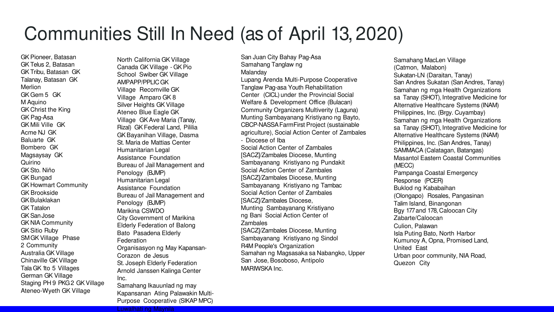#### Communities Still In Need (as of April 13, 2020)

GK Pioneer, Batasan GK Telus 2, Batasan GK Tribu, Batasan GK Talanay, Batasan GK Merlion GK Gem 5 GK M Aquino GK Christ the King GK Pag-Asa GK Mili Ville GK Acme NJ GK Baluarte GK Bombero GK Magsaysay GK Quirino GK Sto. Niño GK Bungad GK Howmart Community GK Brookside GKBulaklakan GK Tatalon GK San Jose GK NIA Community GK Sitio Ruby SM GK Village Phase 2 Community Australia GK Village Chinaville GKVillage Tala GK 1to 5 Villages German GK Village Staging PH 9 PKG 2 GK Village Ateneo-Wyeth GK Village

North California GK Village Canada GK Village - GK Pio School Swiber GK Village AMPAPP/PPLIC GK Village Recomville GK Village Amparo GK 8 Silver Heights GK Village Ateneo Blue Eagle GK Village GK Ave Maria (Tanay, Rizal) GK Federal Land, Pililia GK Bayanihan Village, Dasma St. Maria de Mattias Center Humanitarian Legal Assistance Foundation Bureau of Jail Management and Penology (BJMP) Humanitarian Legal Assistance Foundation Bureau of Jail Management and Penology (BJMP) Marikina CSWDO City Government of Marikina Elderly Federation of Balong Bato Pasadena Elderly Federation Organisasyon ng May Kapansan-Corazon de Jesus St. Joseph Elderly Federation Arnold Janssen Kalinga Center Inc. Samahang Ikauunlad ng may

Kapansanan Ating Palawakin Multi-Purpose Cooperative (SIKAP MPC) Luwalhati ng Maynila

Samahang Tanglaw ng Malanday Lupang Arenda Multi-Purpose Cooperative Tanglaw Pag-asa Youth Rehabilitation Center (CICL) under the Provincial Social Welfare & Development Office (Bulacan) Community Organizers Multiverity (Laguna) Munting Sambayanang Kristiyano ng Bayto, CBCP-NASSA FarmFirst Project (sustainable agriculture), Social Action Center of Zambales - Diocese of Iba Social Action Center of Zambales [SACZ]/Zambales Diocese, Munting Sambayanang Kristiyano ng Pundakit Social Action Center of Zambales [SACZ]/Zambales Diocese, Munting Sambayanang Kristiyano ng Tambac Social Action Center of Zambales [SACZ]/Zambales Diocese, Munting Sambayanang Kristiyano ng Bani Social Action Center of **Zambales** [SACZ]/Zambales Diocese, Munting Sambayanang Kristiyano ng Sindol R4M People's Organization Samahan ng Magsasaka sa Nabangko, Upper San Jose, Bosoboso, Antipolo MARIWSKA Inc.

San Juan City Bahay Pag-Asa

Samahang MacLen Village (Catmon, Malabon) Sukatan-LN (Daraitan, Tanay) San Andres Sukatan (San Andres, Tanay) Samahan ng mga Health Organizations sa Tanay (SHOT), Integrative Medicine for Alternative Healthcare Systems (INAM) Philippines, Inc. (Brgy. Cuyambay) Samahan ng mga Health Organizations sa Tanay (SHOT), Integrative Medicine for Alternative Healthcare Systems (INAM) Philippines, Inc. (San Andres, Tanay) SAMMACA (Calatagan, Batangas) Masantol Eastern Coastal Communities (MECC) Pampanga Coastal Emergency Response (PCER) Buklod ng Kababaihan (Olongapo) Rosales, Pangasinan Talim Island, Binangonan Bgy 177 and 178, Caloocan City Zabarte/Caloocan Culion, Palawan Isla Puting Bato, North Harbor Kumunoy A, Opna, Promised Land, United East Urban poor community, NIA Road, Quezon City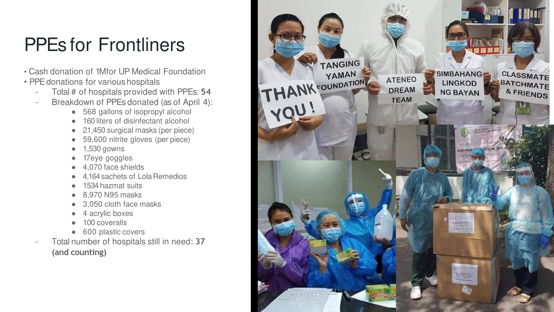# PPEs for Frontliners

- Cash donation of 1Mfor UP Medical Foundation
- PPE donations for various hospitals
	- Total # of hospitals provided with PPEs: **54**
	- Breakdown of PPEs donated (as of April 4):
		- 568 gallons of isopropyl alcohol
		- 160 liters of disinfectant alcohol
		- 21,450 surgical masks (per piece)
		- 59,600 nitrite gloves (per piece)
		- 1,530 gowns
		- 17eye goggles
		- 4,070 face shields
		- 4.164 sachets of Lola Remedios
		- 1534 hazmat suits
		- 8,970 N95 masks
		- 3,050 cloth face masks
		- 4 acrylic boxes
		- 100 coveralls
		- 600 plastic covers
	- Total number of hospitals still in need: **37 (and counting)**

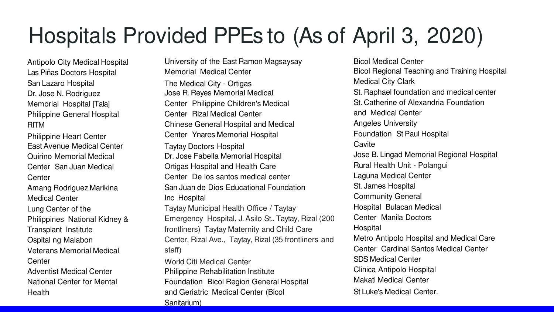# Hospitals Provided PPEs to (As of April 3, 2020)

Antipolo City Medical Hospital Las Piñas Doctors Hospital San Lazaro Hospital Dr. Jose N. Rodriguez Memorial Hospital [Tala] Philippine General Hospital RITM

Philippine Heart Center East Avenue Medical Center Quirino Memorial Medical Center San Juan Medical **Center** Amang Rodriguez Marikina Medical Center Lung Center of the Philippines National Kidney & Transplant Institute Ospital ng Malabon Veterans Memorial Medical **Center** Adventist Medical Center National Center for Mental Health

University of the East Ramon Magsaysay Memorial Medical Center The Medical City - Ortigas Jose R. Reyes Memorial Medical Center Philippine Children's Medical Center Rizal Medical Center Chinese General Hospital and Medical Center Ynares Memorial Hospital Taytay Doctors Hospital Dr. Jose Fabella Memorial Hospital Ortigas Hospital and Health Care Center De los santos medical center San Juan de Dios Educational Foundation Inc Hospital Taytay Municipal Health Office / Taytay Emergency Hospital, J. Asilo St., Taytay, Rizal (200 frontliners) Taytay Maternity and Child Care Center, Rizal Ave., Taytay, Rizal (35 frontliners and staff) World Citi Medical Center Philippine Rehabilitation Institute

Foundation Bicol Region General Hospital and Geriatric Medical Center (Bicol Sanitarium)

Bicol Medical Center Bicol Regional Teaching and Training Hospital Medical City Clark St. Raphael foundation and medical center St. Catherine of Alexandria Foundation and Medical Center Angeles University Foundation St Paul Hospital **Cavite** Jose B. Lingad Memorial Regional Hospital Rural Health Unit - Polangui Laguna Medical Center St. James Hospital Community General Hospital Bulacan Medical Center Manila Doctors Hospital Metro Antipolo Hospital and Medical Care Center Cardinal Santos Medical Center SDS Medical Center Clinica Antipolo Hospital Makati Medical Center St Luke's Medical Center.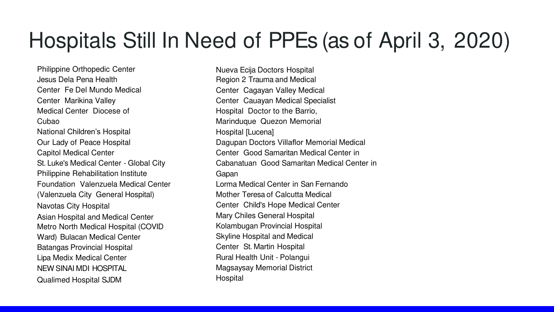# Hospitals Still In Need of PPEs (as of April 3, 2020)

Philippine Orthopedic Center Jesus Dela Pena Health Center Fe Del Mundo Medical Center Marikina Valley Medical Center Diocese of Cubao National Children's Hospital Our Lady of Peace Hospital Capitol Medical Center St. Luke's Medical Center - Global City Philippine Rehabilitation Institute Foundation Valenzuela Medical Center (Valenzuela City General Hospital) Navotas City Hospital Asian Hospital and Medical Center Metro North Medical Hospital (COVID Ward) Bulacan Medical Center Batangas Provincial Hospital Lipa Medix Medical Center NEW SINAI MDI HOSPITAL Qualimed Hospital SJDM

Nueva Ecija Doctors Hospital Region 2 Trauma and Medical Center Cagayan Valley Medical Center Cauayan Medical Specialist Hospital Doctor to the Barrio, Marinduque Quezon Memorial Hospital [Lucena] Dagupan Doctors Villaflor Memorial Medical Center Good Samaritan Medical Center in Cabanatuan Good Samaritan Medical Center in Gapan Lorma Medical Center in San Fernando Mother Teresa of Calcutta Medical Center Child's Hope Medical Center Mary Chiles General Hospital Kolambugan Provincial Hospital Skyline Hospital and Medical Center St. Martin Hospital Rural Health Unit - Polangui Magsaysay Memorial District **Hospital**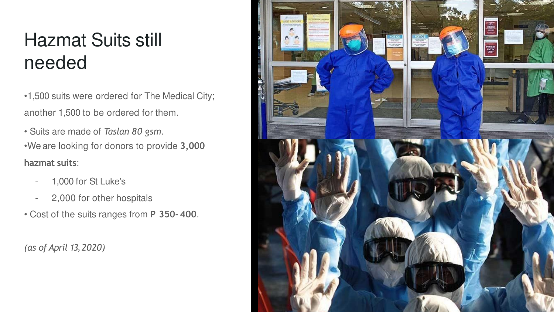# Hazmat Suits still needed

•1,500 suits were ordered for The Medical City; another 1,500 to be ordered for them.

• Suits are made of *Taslan 80 gsm*.

•We are looking for donors to provide **3,000 hazmat suits**:

- 1,000 for St Luke's
- 2,000 for other hospitals
- Cost of the suits ranges from **P 350- 400**.

*(as of April 13, 2020)*

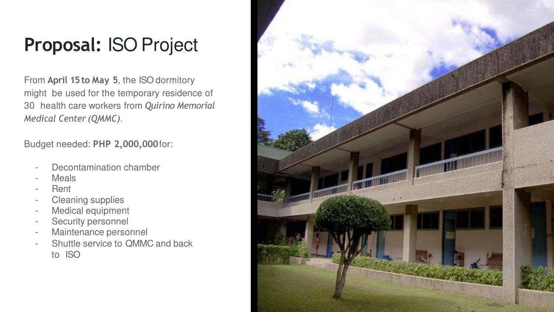### **Proposal:** ISO Project

From **April 15 to May 5**, the ISO dormitory might be used for the temporary residence of 30 health care workers from *Quirino Memorial Medical Center (QMMC)*.

Budget needed: **PHP 2,000,000**for:

- Decontamination chamber
- **Meals**
- **Rent**
- Cleaning supplies
- Medical equipment
- Security personnel
- Maintenance personnel
- Shuttle service to QMMC and back to ISO